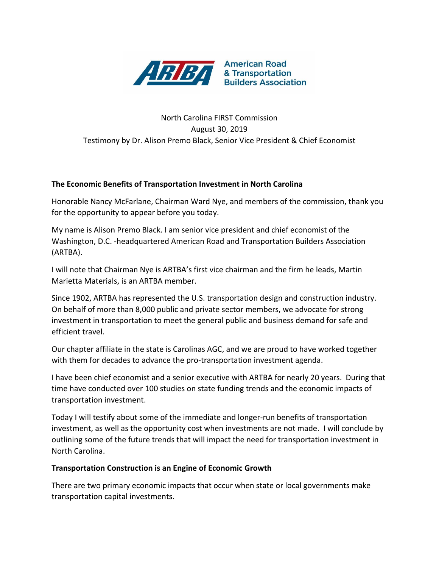

# North Carolina FIRST Commission August 30, 2019 Testimony by Dr. Alison Premo Black, Senior Vice President & Chief Economist

## **The Economic Benefits of Transportation Investment in North Carolina**

Honorable Nancy McFarlane, Chairman Ward Nye, and members of the commission, thank you for the opportunity to appear before you today.

My name is Alison Premo Black. I am senior vice president and chief economist of the Washington, D.C. -headquartered American Road and Transportation Builders Association (ARTBA).

I will note that Chairman Nye is ARTBA's first vice chairman and the firm he leads, Martin Marietta Materials, is an ARTBA member.

Since 1902, ARTBA has represented the U.S. transportation design and construction industry. On behalf of more than 8,000 public and private sector members, we advocate for strong investment in transportation to meet the general public and business demand for safe and efficient travel.

Our chapter affiliate in the state is Carolinas AGC, and we are proud to have worked together with them for decades to advance the pro-transportation investment agenda.

I have been chief economist and a senior executive with ARTBA for nearly 20 years. During that time have conducted over 100 studies on state funding trends and the economic impacts of transportation investment.

Today I will testify about some of the immediate and longer-run benefits of transportation investment, as well as the opportunity cost when investments are not made. I will conclude by outlining some of the future trends that will impact the need for transportation investment in North Carolina.

#### **Transportation Construction is an Engine of Economic Growth**

There are two primary economic impacts that occur when state or local governments make transportation capital investments.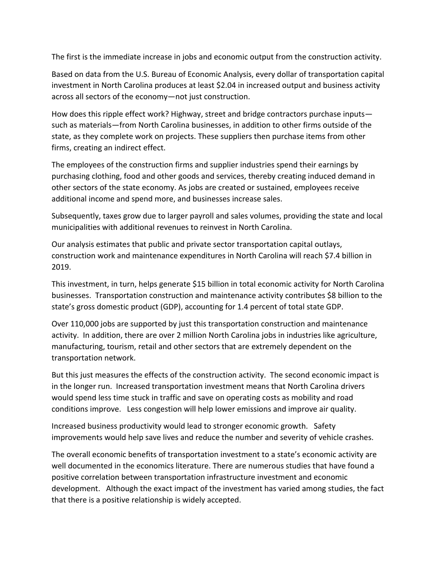The first is the immediate increase in jobs and economic output from the construction activity.

Based on data from the U.S. Bureau of Economic Analysis, every dollar of transportation capital investment in North Carolina produces at least \$2.04 in increased output and business activity across all sectors of the economy—not just construction.

How does this ripple effect work? Highway, street and bridge contractors purchase inputs such as materials—from North Carolina businesses, in addition to other firms outside of the state, as they complete work on projects. These suppliers then purchase items from other firms, creating an indirect effect.

The employees of the construction firms and supplier industries spend their earnings by purchasing clothing, food and other goods and services, thereby creating induced demand in other sectors of the state economy. As jobs are created or sustained, employees receive additional income and spend more, and businesses increase sales.

Subsequently, taxes grow due to larger payroll and sales volumes, providing the state and local municipalities with additional revenues to reinvest in North Carolina.

Our analysis estimates that public and private sector transportation capital outlays, construction work and maintenance expenditures in North Carolina will reach \$7.4 billion in 2019.

This investment, in turn, helps generate \$15 billion in total economic activity for North Carolina businesses. Transportation construction and maintenance activity contributes \$8 billion to the state's gross domestic product (GDP), accounting for 1.4 percent of total state GDP.

Over 110,000 jobs are supported by just this transportation construction and maintenance activity. In addition, there are over 2 million North Carolina jobs in industries like agriculture, manufacturing, tourism, retail and other sectors that are extremely dependent on the transportation network.

But this just measures the effects of the construction activity. The second economic impact is in the longer run. Increased transportation investment means that North Carolina drivers would spend less time stuck in traffic and save on operating costs as mobility and road conditions improve. Less congestion will help lower emissions and improve air quality.

Increased business productivity would lead to stronger economic growth. Safety improvements would help save lives and reduce the number and severity of vehicle crashes.

The overall economic benefits of transportation investment to a state's economic activity are well documented in the economics literature. There are numerous studies that have found a positive correlation between transportation infrastructure investment and economic development. Although the exact impact of the investment has varied among studies, the fact that there is a positive relationship is widely accepted.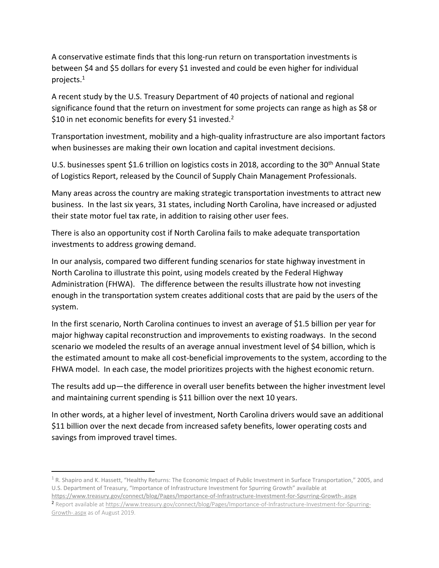A conservative estimate finds that this long-run return on transportation investments is between \$4 and \$5 dollars for every \$1 invested and could be even higher for individual projects. $^1$ 

A recent study by the U.S. Treasury Department of 40 projects of national and regional significance found that the return on investment for some projects can range as high as \$8 or \$10 in net economic benefits for every \$1 invested.<sup>2</sup>

Transportation investment, mobility and a high-quality infrastructure are also important factors when businesses are making their own location and capital investment decisions.

U.S. businesses spent \$1.6 trillion on logistics costs in 2018, according to the 30<sup>th</sup> Annual State of Logistics Report, released by the Council of Supply Chain Management Professionals.

Many areas across the country are making strategic transportation investments to attract new business. In the last six years, 31 states, including North Carolina, have increased or adjusted their state motor fuel tax rate, in addition to raising other user fees.

There is also an opportunity cost if North Carolina fails to make adequate transportation investments to address growing demand.

In our analysis, compared two different funding scenarios for state highway investment in North Carolina to illustrate this point, using models created by the Federal Highway Administration (FHWA). The difference between the results illustrate how not investing enough in the transportation system creates additional costs that are paid by the users of the system.

In the first scenario, North Carolina continues to invest an average of \$1.5 billion per year for major highway capital reconstruction and improvements to existing roadways. In the second scenario we modeled the results of an average annual investment level of \$4 billion, which is the estimated amount to make all cost-beneficial improvements to the system, according to the FHWA model. In each case, the model prioritizes projects with the highest economic return.

The results add up—the difference in overall user benefits between the higher investment level and maintaining current spending is \$11 billion over the next 10 years.

In other words, at a higher level of investment, North Carolina drivers would save an additional \$11 billion over the next decade from increased safety benefits, lower operating costs and savings from improved travel times.

 $\overline{\phantom{a}}$ 

 $1$  R. Shapiro and K. Hassett, "Healthy Returns: The Economic Impact of Public Investment in Surface Transportation," 2005, and U.S. Department of Treasury, "Importance of Infrastructure Investment for Spurring Growth" available at <https://www.treasury.gov/connect/blog/Pages/Importance-of-Infrastructure-Investment-for-Spurring-Growth-.aspx>

<sup>2</sup> Report available a[t https://www.treasury.gov/connect/blog/Pages/Importance-of-Infrastructure-Investment-for-Spurring-](https://www.treasury.gov/connect/blog/Pages/Importance-of-Infrastructure-Investment-for-Spurring-Growth-.aspx)[Growth-.aspx](https://www.treasury.gov/connect/blog/Pages/Importance-of-Infrastructure-Investment-for-Spurring-Growth-.aspx) as of August 2019.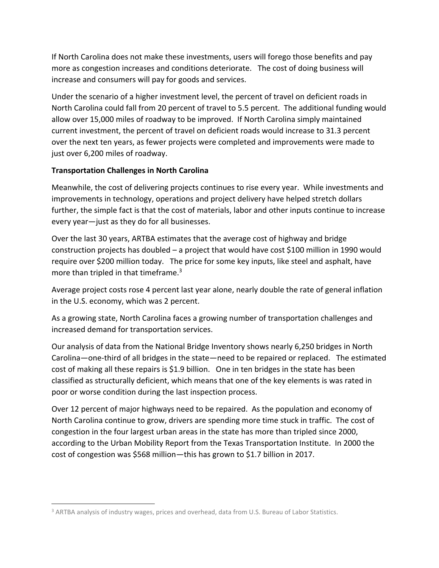If North Carolina does not make these investments, users will forego those benefits and pay more as congestion increases and conditions deteriorate. The cost of doing business will increase and consumers will pay for goods and services.

Under the scenario of a higher investment level, the percent of travel on deficient roads in North Carolina could fall from 20 percent of travel to 5.5 percent. The additional funding would allow over 15,000 miles of roadway to be improved. If North Carolina simply maintained current investment, the percent of travel on deficient roads would increase to 31.3 percent over the next ten years, as fewer projects were completed and improvements were made to just over 6,200 miles of roadway.

## **Transportation Challenges in North Carolina**

Meanwhile, the cost of delivering projects continues to rise every year. While investments and improvements in technology, operations and project delivery have helped stretch dollars further, the simple fact is that the cost of materials, labor and other inputs continue to increase every year—just as they do for all businesses.

Over the last 30 years, ARTBA estimates that the average cost of highway and bridge construction projects has doubled – a project that would have cost \$100 million in 1990 would require over \$200 million today. The price for some key inputs, like steel and asphalt, have more than tripled in that timeframe.<sup>3</sup>

Average project costs rose 4 percent last year alone, nearly double the rate of general inflation in the U.S. economy, which was 2 percent.

As a growing state, North Carolina faces a growing number of transportation challenges and increased demand for transportation services.

Our analysis of data from the National Bridge Inventory shows nearly 6,250 bridges in North Carolina—one-third of all bridges in the state—need to be repaired or replaced. The estimated cost of making all these repairs is \$1.9 billion. One in ten bridges in the state has been classified as structurally deficient, which means that one of the key elements is was rated in poor or worse condition during the last inspection process.

Over 12 percent of major highways need to be repaired. As the population and economy of North Carolina continue to grow, drivers are spending more time stuck in traffic. The cost of congestion in the four largest urban areas in the state has more than tripled since 2000, according to the Urban Mobility Report from the Texas Transportation Institute. In 2000 the cost of congestion was \$568 million—this has grown to \$1.7 billion in 2017.

 $\overline{a}$ 

<sup>&</sup>lt;sup>3</sup> ARTBA analysis of industry wages, prices and overhead, data from U.S. Bureau of Labor Statistics.